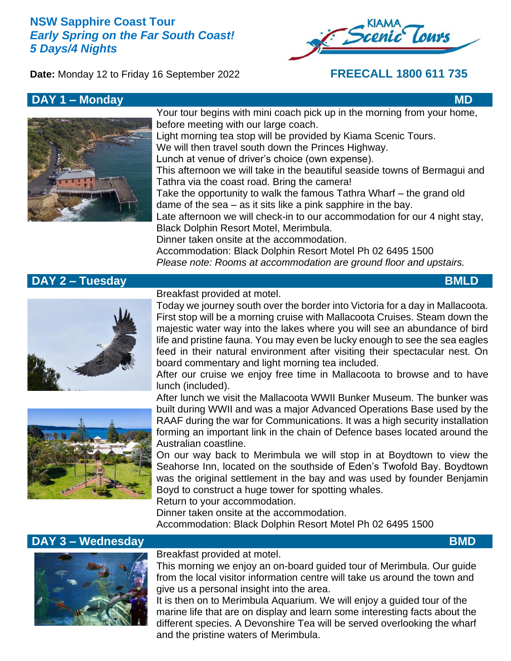# **NSW Sapphire Coast Tour** *Early Spring on the Far South Coast! 5 Days/4 Nights*





# **DAY 1 – Monday MD MD**



Your tour begins with mini coach pick up in the morning from your home, before meeting with our large coach. Light morning tea stop will be provided by Kiama Scenic Tours. We will then travel south down the Princes Highway. Lunch at venue of driver's choice (own expense). This afternoon we will take in the beautiful seaside towns of Bermagui and Tathra via the coast road. Bring the camera! Take the opportunity to walk the famous Tathra Wharf – the grand old dame of the sea – as it sits like a pink sapphire in the bay. Late afternoon we will check-in to our accommodation for our 4 night stay, Black Dolphin Resort Motel, Merimbula. Dinner taken onsite at the accommodation.

Accommodation: Black Dolphin Resort Motel Ph 02 6495 1500 *Please note: Rooms at accommodation are ground floor and upstairs.*

# **DAY 2 – Tuesday BMLD**



Breakfast provided at motel.

Today we journey south over the border into Victoria for a day in Mallacoota. First stop will be a morning cruise with Mallacoota Cruises. Steam down the majestic water way into the lakes where you will see an abundance of bird life and pristine fauna. You may even be lucky enough to see the sea eagles feed in their natural environment after visiting their spectacular nest. On board commentary and light morning tea included.

After our cruise we enjoy free time in Mallacoota to browse and to have lunch (included).



After lunch we visit the Mallacoota WWII Bunker Museum. The bunker was built during WWII and was a major Advanced Operations Base used by the RAAF during the war for Communications. It was a high security installation forming an important link in the chain of Defence bases located around the Australian coastline.

On our way back to Merimbula we will stop in at Boydtown to view the Seahorse Inn, located on the southside of Eden's Twofold Bay. Boydtown was the original settlement in the bay and was used by founder Benjamin Boyd to construct a huge tower for spotting whales.

Return to your accommodation.

Dinner taken onsite at the accommodation.

Accommodation: Black Dolphin Resort Motel Ph 02 6495 1500

### **DAY 3 – Wednesday BMD**



### Breakfast provided at motel.

This morning we enjoy an on-board guided tour of Merimbula. Our guide from the local visitor information centre will take us around the town and give us a personal insight into the area.

It is then on to Merimbula Aquarium. We will enjoy a guided tour of the marine life that are on display and learn some interesting facts about the different species. A Devonshire Tea will be served overlooking the wharf and the pristine waters of Merimbula.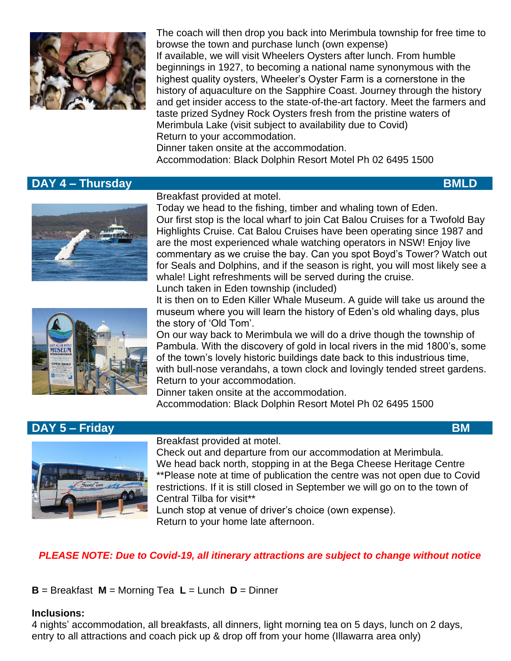

The coach will then drop you back into Merimbula township for free time to browse the town and purchase lunch (own expense) If available, we will visit Wheelers Oysters after lunch. From humble beginnings in 1927, to becoming a national name synonymous with the highest quality oysters, Wheeler's Oyster Farm is a cornerstone in the history of aquaculture on the Sapphire Coast. Journey through the history and get insider access to the state-of-the-art factory. Meet the farmers and taste prized Sydney Rock Oysters fresh from the pristine waters of Merimbula Lake (visit subject to availability due to Covid) Return to your accommodation. Dinner taken onsite at the accommodation.

Accommodation: Black Dolphin Resort Motel Ph 02 6495 1500

# **DAY 4 – Thursday BMLD**





Today we head to the fishing, timber and whaling town of Eden. Our first stop is the local wharf to join Cat Balou Cruises for a Twofold Bay Highlights Cruise. Cat Balou Cruises have been operating since 1987 and are the most experienced whale watching operators in NSW! Enjoy live commentary as we cruise the bay. Can you spot Boyd's Tower? Watch out for Seals and Dolphins, and if the season is right, you will most likely see a whale! Light refreshments will be served during the cruise. Lunch taken in Eden township (included)

It is then on to Eden Killer Whale Museum. A guide will take us around the

museum where you will learn the history of Eden's old whaling days, plus the story of 'Old Tom'.

On our way back to Merimbula we will do a drive though the township of Pambula. With the discovery of gold in local rivers in the mid 1800's, some of the town's lovely historic buildings date back to this industrious time, with bull-nose verandahs, a town clock and lovingly tended street gardens. Return to your accommodation.

Dinner taken onsite at the accommodation.

Accommodation: Black Dolphin Resort Motel Ph 02 6495 1500

# **DAY 5 – Friday BM** BM **BM**



### Breakfast provided at motel.

Check out and departure from our accommodation at Merimbula. We head back north, stopping in at the Bega Cheese Heritage Centre \*\*Please note at time of publication the centre was not open due to Covid restrictions. If it is still closed in September we will go on to the town of Central Tilba for visit\*\*

Lunch stop at venue of driver's choice (own expense). Return to your home late afternoon.

# *PLEASE NOTE: Due to Covid-19, all itinerary attractions are subject to change without notice*

**B** = Breakfast **M** = Morning Tea **L** = Lunch **D** = Dinner

### **Inclusions:**

4 nights' accommodation, all breakfasts, all dinners, light morning tea on 5 days, lunch on 2 days, entry to all attractions and coach pick up & drop off from your home (Illawarra area only)